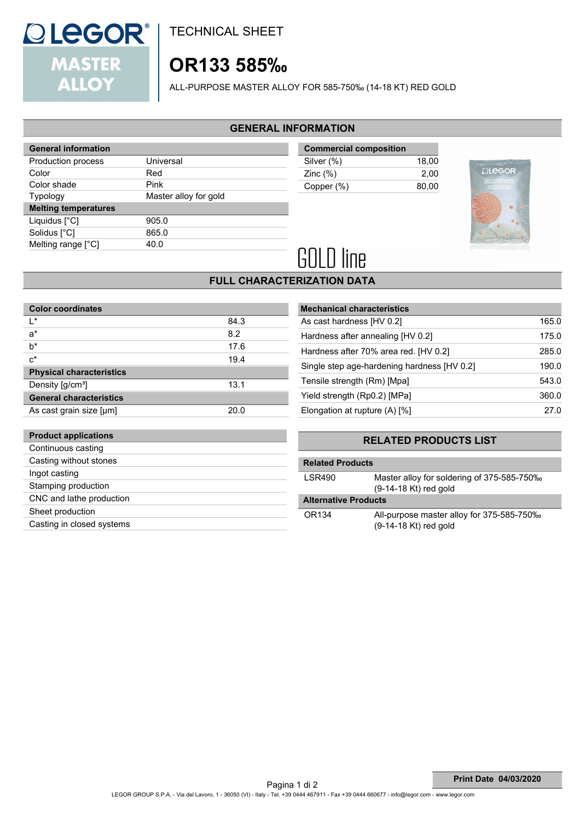

TECHNICAL SHEET

# **OR133 585‰**

ALL-PURPOSE MASTER ALLOY FOR 585-750‰ (14-18 KT) RED GOLD

#### **GENERAL INFORMATION**

| <b>General information</b>  |                       |  |
|-----------------------------|-----------------------|--|
| Production process          | Universal             |  |
| Color                       | Red                   |  |
| Color shade                 | Pink                  |  |
| <b>Typology</b>             | Master alloy for gold |  |
|                             |                       |  |
| <b>Melting temperatures</b> |                       |  |
| Liquidus [°C]               | 905.0                 |  |
| Solidus [°C]                | 865.0                 |  |
| Melting range [°C]          | 40.0                  |  |

| <b>Commercial composition</b> |       |
|-------------------------------|-------|
| Silver (%)                    | 18.00 |
| Zinc $(\%)$                   | 2.00  |
| Copper (%)                    | 80.00 |



# **GOLD line**

## **FULL CHARACTERIZATION DATA**

| <b>Color coordinates</b>        |      |
|---------------------------------|------|
| I∗                              | 84.3 |
| a*                              | 8.2  |
| b*                              | 17.6 |
| $c^*$                           | 19.4 |
| <b>Physical characteristics</b> |      |
| Density [g/cm <sup>3</sup> ]    | 13.1 |
| <b>General characteristics</b>  |      |
| As cast grain size [µm]         | 20.0 |
|                                 |      |
| <b>Product applications</b>     |      |
| Continuous casting              |      |
| Casting without stones          |      |
| Ingot casting                   |      |
| Stamping production             |      |
| CNC and lathe production        |      |
| Sheet production                |      |

| Casting in closed systems |  |
|---------------------------|--|

| <b>Mechanical characteristics</b>           |       |
|---------------------------------------------|-------|
| As cast hardness [HV 0.2]                   | 165.0 |
| Hardness after annealing [HV 0.2]           | 175.0 |
| Hardness after 70% area red. [HV 0.2]       | 285.0 |
| Single step age-hardening hardness [HV 0.2] | 190.0 |
| Tensile strength (Rm) [Mpa]                 | 543.0 |
| Yield strength (Rp0.2) [MPa]                | 360.0 |
| Elongation at rupture $(A)$ [%]             | 27.0  |

### **RELATED PRODUCTS LIST**

| <b>Related Products</b>     |                                                                       |
|-----------------------------|-----------------------------------------------------------------------|
| LSR490                      | Master alloy for soldering of 375-585-750‰<br>$(9-14-18$ Kt) red gold |
| <b>Alternative Products</b> |                                                                       |
|                             |                                                                       |